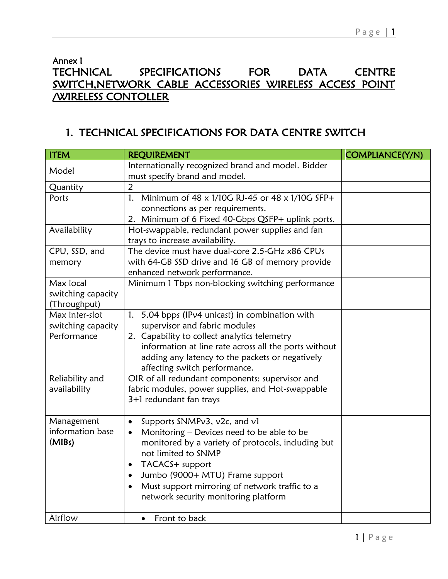## Annex I TECHNICAL SPECIFICATIONS FOR DATA CENTRE SWITCH,NETWORK CABLE ACCESSORIES WIRELESS ACCESS POINT /WIRELESS CONTOLLER

## 1. TECHNICAL SPECIFICATIONS FOR DATA CENTRE SWITCH

| <b>ITEM</b>        | <b>REQUIREMENT</b>                                          | <b>COMPLIANCE(Y/N)</b> |
|--------------------|-------------------------------------------------------------|------------------------|
| Model              | Internationally recognized brand and model. Bidder          |                        |
|                    | must specify brand and model.<br>$\overline{2}$             |                        |
| Quantity           |                                                             |                        |
| Ports              | Minimum of 48 x 1/10G RJ-45 or 48 x 1/10G SFP+<br>1.        |                        |
|                    | connections as per requirements.                            |                        |
|                    | 2. Minimum of 6 Fixed 40-Gbps QSFP+ uplink ports.           |                        |
| Availability       | Hot-swappable, redundant power supplies and fan             |                        |
|                    | trays to increase availability.                             |                        |
| CPU, SSD, and      | The device must have dual-core 2.5-GHz x86 CPUs             |                        |
| memory             | with 64-GB SSD drive and 16 GB of memory provide            |                        |
|                    | enhanced network performance.                               |                        |
| Max local          | Minimum 1 Tbps non-blocking switching performance           |                        |
| switching capacity |                                                             |                        |
| (Throughput)       |                                                             |                        |
| Max inter-slot     | 5.04 bpps (IPv4 unicast) in combination with<br>1.          |                        |
| switching capacity | supervisor and fabric modules                               |                        |
| Performance        | 2. Capability to collect analytics telemetry                |                        |
|                    | information at line rate across all the ports without       |                        |
|                    | adding any latency to the packets or negatively             |                        |
|                    | affecting switch performance.                               |                        |
| Reliability and    | OIR of all redundant components: supervisor and             |                        |
| availability       | fabric modules, power supplies, and Hot-swappable           |                        |
|                    | 3+1 redundant fan trays                                     |                        |
| Management         | Supports SNMPv3, v2c, and v1<br>$\bullet$                   |                        |
| information base   | Monitoring - Devices need to be able to be<br>$\bullet$     |                        |
| (MIBs)             | monitored by a variety of protocols, including but          |                        |
|                    | not limited to SNMP                                         |                        |
|                    | TACACS+ support<br>$\bullet$                                |                        |
|                    | Jumbo (9000+ MTU) Frame support<br>$\bullet$                |                        |
|                    | Must support mirroring of network traffic to a<br>$\bullet$ |                        |
|                    | network security monitoring platform                        |                        |
|                    |                                                             |                        |
| Airflow            | Front to back<br>$\bullet$                                  |                        |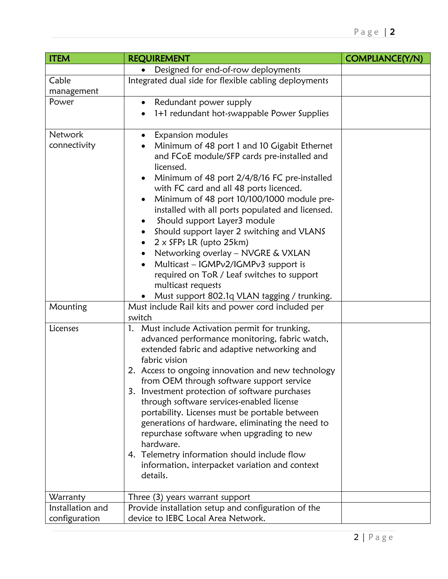| <b>ITEM</b>      | <b>REQUIREMENT</b>                                                                                | <b>COMPLIANCE(Y/N)</b> |
|------------------|---------------------------------------------------------------------------------------------------|------------------------|
|                  | Designed for end-of-row deployments                                                               |                        |
| Cable            | Integrated dual side for flexible cabling deployments                                             |                        |
| management       |                                                                                                   |                        |
| Power            | Redundant power supply                                                                            |                        |
|                  | 1+1 redundant hot-swappable Power Supplies                                                        |                        |
|                  |                                                                                                   |                        |
| <b>Network</b>   | Expansion modules                                                                                 |                        |
| connectivity     | Minimum of 48 port 1 and 10 Gigabit Ethernet                                                      |                        |
|                  | and FCoE module/SFP cards pre-installed and                                                       |                        |
|                  | licensed.                                                                                         |                        |
|                  | Minimum of 48 port 2/4/8/16 FC pre-installed<br>with FC card and all 48 ports licenced.           |                        |
|                  | Minimum of 48 port 10/100/1000 module pre-<br>$\bullet$                                           |                        |
|                  | installed with all ports populated and licensed.                                                  |                        |
|                  | Should support Layer3 module                                                                      |                        |
|                  | Should support layer 2 switching and VLANS                                                        |                        |
|                  | $2 \times$ SFPs LR (upto 25 km)                                                                   |                        |
|                  | Networking overlay - NVGRE & VXLAN                                                                |                        |
|                  | Multicast - IGMPv2/IGMPv3 support is<br>$\bullet$                                                 |                        |
|                  | required on ToR / Leaf switches to support                                                        |                        |
|                  | multicast requests                                                                                |                        |
|                  | Must support 802.1q VLAN tagging / trunking.                                                      |                        |
| Mounting         | Must include Rail kits and power cord included per                                                |                        |
|                  | switch                                                                                            |                        |
| Licenses         | 1. Must include Activation permit for trunking,<br>advanced performance monitoring, fabric watch, |                        |
|                  | extended fabric and adaptive networking and                                                       |                        |
|                  | fabric vision                                                                                     |                        |
|                  | 2. Access to ongoing innovation and new technology                                                |                        |
|                  | from OEM through software support service                                                         |                        |
|                  | 3. Investment protection of software purchases                                                    |                        |
|                  | through software services-enabled license                                                         |                        |
|                  | portability. Licenses must be portable between                                                    |                        |
|                  | generations of hardware, eliminating the need to                                                  |                        |
|                  | repurchase software when upgrading to new<br>hardware.                                            |                        |
|                  |                                                                                                   |                        |
|                  | 4. Telemetry information should include flow<br>information, interpacket variation and context    |                        |
|                  | details.                                                                                          |                        |
|                  |                                                                                                   |                        |
| Warranty         | Three (3) years warrant support                                                                   |                        |
| Installation and | Provide installation setup and configuration of the                                               |                        |
| configuration    | device to IEBC Local Area Network.                                                                |                        |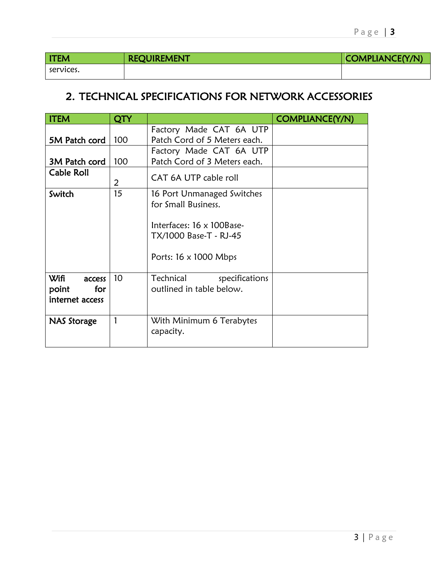| <b>ITEM</b> | <b>REQUIREMENT</b> | COMPLIANCE(Y/N) |
|-------------|--------------------|-----------------|
| services.   |                    |                 |

## 2. TECHNICAL SPECIFICATIONS FOR NETWORK ACCESSORIES

| <b>ITEM</b>                                              | QTY             |                                                                                                                                          | <b>COMPLIANCE(Y/N)</b> |
|----------------------------------------------------------|-----------------|------------------------------------------------------------------------------------------------------------------------------------------|------------------------|
| 5M Patch cord                                            | 100             | Factory Made CAT 6A UTP<br>Patch Cord of 5 Meters each.                                                                                  |                        |
| 3M Patch cord                                            | 100             | Factory Made CAT 6A UTP<br>Patch Cord of 3 Meters each.                                                                                  |                        |
| Cable Roll                                               | 2               | CAT 6A UTP cable roll                                                                                                                    |                        |
| Switch                                                   | 15              | 16 Port Unmanaged Switches<br>for Small Business.<br>Interfaces: 16 x 100Base-<br>TX/1000 Base-T - RJ-45<br>Ports: $16 \times 1000$ Mbps |                        |
| <b>Wifi</b><br>access<br>point<br>for<br>internet access | 10 <sup>°</sup> | Technical<br>specifications<br>outlined in table below.                                                                                  |                        |
| <b>NAS Storage</b>                                       |                 | With Minimum 6 Terabytes<br>capacity.                                                                                                    |                        |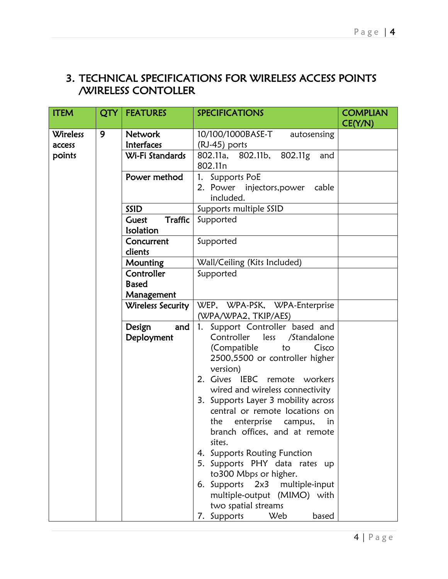## 3. TECHNICAL SPECIFICATIONS FOR WIRELESS ACCESS POINTS /WIRELESS CONTOLLER

| <b>ITEM</b>     | QTY | <b>FEATURES</b>                 | <b>SPECIFICATIONS</b>                                                                                                                                                                                                                                                                                                                                                                                                                                                                                                                                                                                       | <b>COMPLIAN</b><br>CE(Y/N) |
|-----------------|-----|---------------------------------|-------------------------------------------------------------------------------------------------------------------------------------------------------------------------------------------------------------------------------------------------------------------------------------------------------------------------------------------------------------------------------------------------------------------------------------------------------------------------------------------------------------------------------------------------------------------------------------------------------------|----------------------------|
| <b>Wireless</b> | 9   | <b>Network</b>                  | 10/100/1000BASE-T<br>autosensing                                                                                                                                                                                                                                                                                                                                                                                                                                                                                                                                                                            |                            |
| access          |     | Interfaces                      | (RJ-45) ports                                                                                                                                                                                                                                                                                                                                                                                                                                                                                                                                                                                               |                            |
| points          |     | Wi-Fi Standards                 | 802.11a, 802.11b,<br>802.11g<br>and<br>802.11n                                                                                                                                                                                                                                                                                                                                                                                                                                                                                                                                                              |                            |
|                 |     | Power method                    | 1. Supports PoE                                                                                                                                                                                                                                                                                                                                                                                                                                                                                                                                                                                             |                            |
|                 |     |                                 | 2. Power injectors, power cable<br>included.                                                                                                                                                                                                                                                                                                                                                                                                                                                                                                                                                                |                            |
|                 |     | SSID                            | Supports multiple SSID                                                                                                                                                                                                                                                                                                                                                                                                                                                                                                                                                                                      |                            |
|                 |     | Traffic<br>Guest<br>Isolation   | Supported                                                                                                                                                                                                                                                                                                                                                                                                                                                                                                                                                                                                   |                            |
|                 |     | Concurrent                      | Supported                                                                                                                                                                                                                                                                                                                                                                                                                                                                                                                                                                                                   |                            |
|                 |     | clients                         |                                                                                                                                                                                                                                                                                                                                                                                                                                                                                                                                                                                                             |                            |
|                 |     | <b>Mounting</b>                 | Wall/Ceiling (Kits Included)                                                                                                                                                                                                                                                                                                                                                                                                                                                                                                                                                                                |                            |
|                 |     | Controller                      | Supported                                                                                                                                                                                                                                                                                                                                                                                                                                                                                                                                                                                                   |                            |
|                 |     | <b>Based</b>                    |                                                                                                                                                                                                                                                                                                                                                                                                                                                                                                                                                                                                             |                            |
|                 |     | Management<br>Wireless Security | WEP, WPA-PSK, WPA-Enterprise                                                                                                                                                                                                                                                                                                                                                                                                                                                                                                                                                                                |                            |
|                 |     |                                 | (WPA/WPA2, TKIP/AES)                                                                                                                                                                                                                                                                                                                                                                                                                                                                                                                                                                                        |                            |
|                 |     | Design<br>and<br>Deployment     | Support Controller based and<br>1.<br>Controller<br>less<br>/Standalone<br>(Compatible<br>Cisco<br>to<br>2500,5500 or controller higher<br>version)<br>2. Gives IEBC remote<br>workers<br>wired and wireless connectivity<br>3. Supports Layer 3 mobility across<br>central or remote locations on<br>enterprise campus,<br>the<br>in<br>branch offices, and at remote<br>sites.<br>4. Supports Routing Function<br>5. Supports PHY data rates up<br>to300 Mbps or higher.<br>6. Supports $2\times3$<br>multiple-input<br>multiple-output (MIMO) with<br>two spatial streams<br>7. Supports<br>Web<br>based |                            |